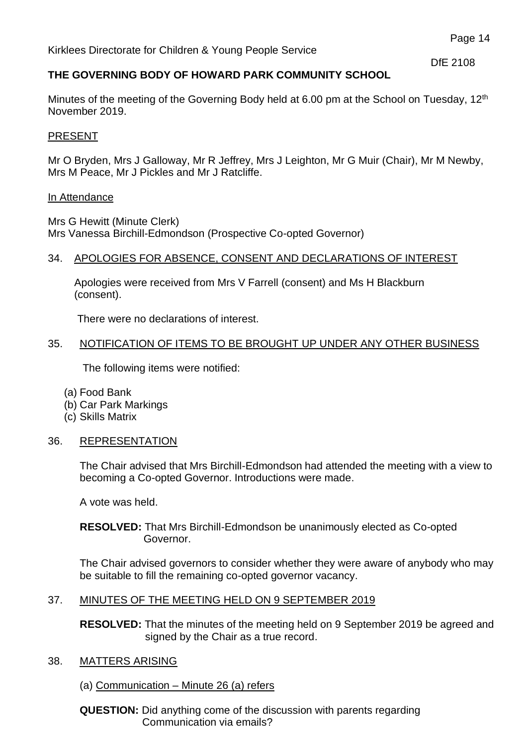DfE 2108

# **THE GOVERNING BODY OF HOWARD PARK COMMUNITY SCHOOL**

Minutes of the meeting of the Governing Body held at 6.00 pm at the School on Tuesday, 12<sup>th</sup> November 2019.

## PRESENT

Mr O Bryden, Mrs J Galloway, Mr R Jeffrey, Mrs J Leighton, Mr G Muir (Chair), Mr M Newby, Mrs M Peace, Mr J Pickles and Mr J Ratcliffe.

### In Attendance

Mrs G Hewitt (Minute Clerk) Mrs Vanessa Birchill-Edmondson (Prospective Co-opted Governor)

## 34. APOLOGIES FOR ABSENCE, CONSENT AND DECLARATIONS OF INTEREST

 Apologies were received from Mrs V Farrell (consent) and Ms H Blackburn (consent).

There were no declarations of interest.

## 35. NOTIFICATION OF ITEMS TO BE BROUGHT UP UNDER ANY OTHER BUSINESS

The following items were notified:

- (a) Food Bank
- (b) Car Park Markings
- (c) Skills Matrix

# 36. REPRESENTATION

The Chair advised that Mrs Birchill-Edmondson had attended the meeting with a view to becoming a Co-opted Governor. Introductions were made.

A vote was held.

## **RESOLVED:** That Mrs Birchill-Edmondson be unanimously elected as Co-opted Governor.

The Chair advised governors to consider whether they were aware of anybody who may be suitable to fill the remaining co-opted governor vacancy.

## 37. MINUTES OF THE MEETING HELD ON 9 SEPTEMBER 2019

**RESOLVED:** That the minutes of the meeting held on 9 September 2019 be agreed and signed by the Chair as a true record.

## 38. MATTERS ARISING

(a) Communication – Minute 26 (a) refers

**QUESTION:** Did anything come of the discussion with parents regarding Communication via emails?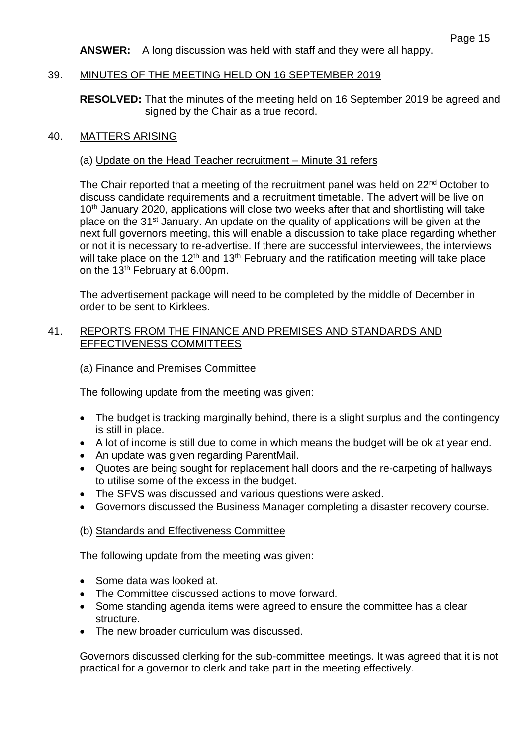**ANSWER:** A long discussion was held with staff and they were all happy.

## 39. MINUTES OF THE MEETING HELD ON 16 SEPTEMBER 2019

**RESOLVED:** That the minutes of the meeting held on 16 September 2019 be agreed and signed by the Chair as a true record.

## 40. MATTERS ARISING

## (a) Update on the Head Teacher recruitment – Minute 31 refers

The Chair reported that a meeting of the recruitment panel was held on 22<sup>nd</sup> October to discuss candidate requirements and a recruitment timetable. The advert will be live on 10<sup>th</sup> January 2020, applications will close two weeks after that and shortlisting will take place on the 31<sup>st</sup> January. An update on the quality of applications will be given at the next full governors meeting, this will enable a discussion to take place regarding whether or not it is necessary to re-advertise. If there are successful interviewees, the interviews will take place on the 12<sup>th</sup> and 13<sup>th</sup> February and the ratification meeting will take place on the 13th February at 6.00pm.

The advertisement package will need to be completed by the middle of December in order to be sent to Kirklees.

## 41. REPORTS FROM THE FINANCE AND PREMISES AND STANDARDS AND EFFECTIVENESS COMMITTEES

## (a) Finance and Premises Committee

The following update from the meeting was given:

- The budget is tracking marginally behind, there is a slight surplus and the contingency is still in place.
- A lot of income is still due to come in which means the budget will be ok at year end.
- An update was given regarding ParentMail.
- Quotes are being sought for replacement hall doors and the re-carpeting of hallways to utilise some of the excess in the budget.
- The SFVS was discussed and various questions were asked.
- Governors discussed the Business Manager completing a disaster recovery course.

## (b) Standards and Effectiveness Committee

The following update from the meeting was given:

- Some data was looked at.
- The Committee discussed actions to move forward.
- Some standing agenda items were agreed to ensure the committee has a clear structure.
- The new broader curriculum was discussed.

Governors discussed clerking for the sub-committee meetings. It was agreed that it is not practical for a governor to clerk and take part in the meeting effectively.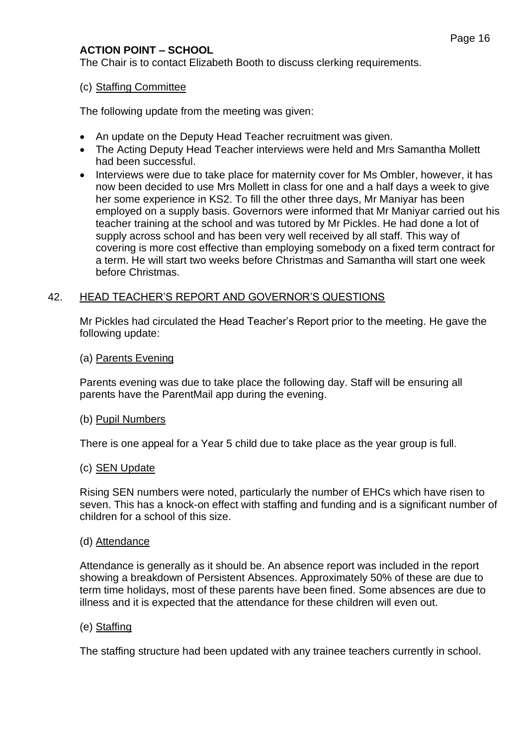# **ACTION POINT – SCHOOL**

The Chair is to contact Elizabeth Booth to discuss clerking requirements.

## (c) Staffing Committee

The following update from the meeting was given:

- An update on the Deputy Head Teacher recruitment was given.
- The Acting Deputy Head Teacher interviews were held and Mrs Samantha Mollett had been successful.
- Interviews were due to take place for maternity cover for Ms Ombler, however, it has now been decided to use Mrs Mollett in class for one and a half days a week to give her some experience in KS2. To fill the other three days, Mr Maniyar has been employed on a supply basis. Governors were informed that Mr Maniyar carried out his teacher training at the school and was tutored by Mr Pickles. He had done a lot of supply across school and has been very well received by all staff. This way of covering is more cost effective than employing somebody on a fixed term contract for a term. He will start two weeks before Christmas and Samantha will start one week before Christmas.

# 42. HEAD TEACHER'S REPORT AND GOVERNOR'S QUESTIONS

Mr Pickles had circulated the Head Teacher's Report prior to the meeting. He gave the following update:

## (a) Parents Evening

Parents evening was due to take place the following day. Staff will be ensuring all parents have the ParentMail app during the evening.

## (b) Pupil Numbers

There is one appeal for a Year 5 child due to take place as the year group is full.

## (c) SEN Update

Rising SEN numbers were noted, particularly the number of EHCs which have risen to seven. This has a knock-on effect with staffing and funding and is a significant number of children for a school of this size.

## (d) Attendance

Attendance is generally as it should be. An absence report was included in the report showing a breakdown of Persistent Absences. Approximately 50% of these are due to term time holidays, most of these parents have been fined. Some absences are due to illness and it is expected that the attendance for these children will even out.

## (e) Staffing

The staffing structure had been updated with any trainee teachers currently in school.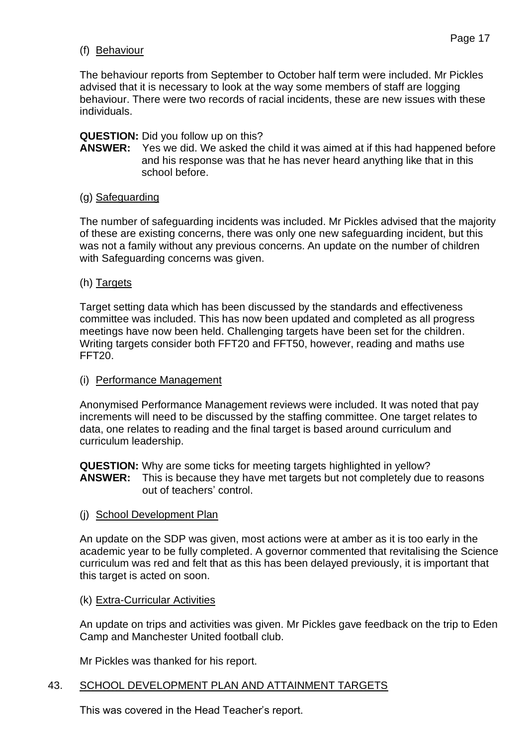# (f) Behaviour

The behaviour reports from September to October half term were included. Mr Pickles advised that it is necessary to look at the way some members of staff are logging behaviour. There were two records of racial incidents, these are new issues with these individuals.

# **QUESTION:** Did you follow up on this?

**ANSWER:** Yes we did. We asked the child it was aimed at if this had happened before and his response was that he has never heard anything like that in this school before.

# (g) Safeguarding

The number of safeguarding incidents was included. Mr Pickles advised that the majority of these are existing concerns, there was only one new safeguarding incident, but this was not a family without any previous concerns. An update on the number of children with Safeguarding concerns was given.

# (h) Targets

Target setting data which has been discussed by the standards and effectiveness committee was included. This has now been updated and completed as all progress meetings have now been held. Challenging targets have been set for the children. Writing targets consider both FFT20 and FFT50, however, reading and maths use FFT20.

# (i) Performance Management

Anonymised Performance Management reviews were included. It was noted that pay increments will need to be discussed by the staffing committee. One target relates to data, one relates to reading and the final target is based around curriculum and curriculum leadership.

**QUESTION:** Why are some ticks for meeting targets highlighted in yellow? **ANSWER:** This is because they have met targets but not completely due to reasons out of teachers' control.

(j) School Development Plan

An update on the SDP was given, most actions were at amber as it is too early in the academic year to be fully completed. A governor commented that revitalising the Science curriculum was red and felt that as this has been delayed previously, it is important that this target is acted on soon.

(k) Extra-Curricular Activities

An update on trips and activities was given. Mr Pickles gave feedback on the trip to Eden Camp and Manchester United football club.

Mr Pickles was thanked for his report.

# 43. SCHOOL DEVELOPMENT PLAN AND ATTAINMENT TARGETS

This was covered in the Head Teacher's report.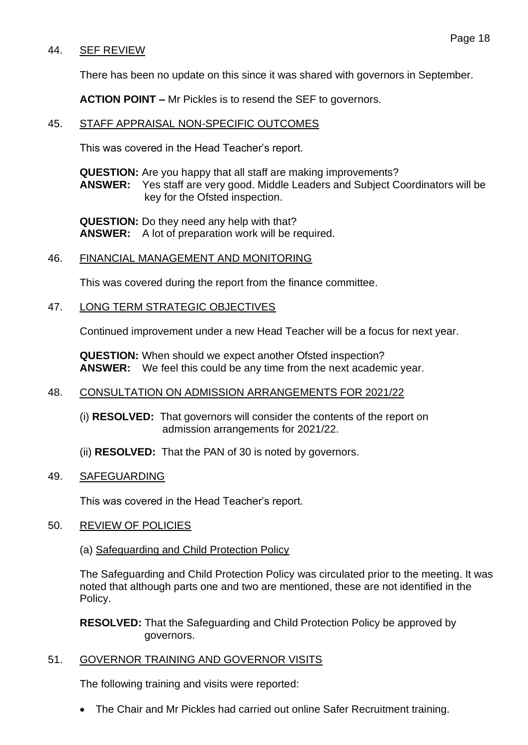## 44. SEF REVIEW

There has been no update on this since it was shared with governors in September.

**ACTION POINT –** Mr Pickles is to resend the SEF to governors.

#### 45. STAFF APPRAISAL NON-SPECIFIC OUTCOMES

This was covered in the Head Teacher's report.

**QUESTION:** Are you happy that all staff are making improvements? **ANSWER:** Yes staff are very good. Middle Leaders and Subject Coordinators will be key for the Ofsted inspection.

**QUESTION:** Do they need any help with that? **ANSWER:** A lot of preparation work will be required.

### 46. FINANCIAL MANAGEMENT AND MONITORING

This was covered during the report from the finance committee.

#### 47. LONG TERM STRATEGIC OBJECTIVES

Continued improvement under a new Head Teacher will be a focus for next year.

**QUESTION:** When should we expect another Ofsted inspection? **ANSWER:** We feel this could be any time from the next academic year.

#### 48. CONSULTATION ON ADMISSION ARRANGEMENTS FOR 2021/22

- (i) **RESOLVED:** That governors will consider the contents of the report on admission arrangements for 2021/22.
- (ii) **RESOLVED:** That the PAN of 30 is noted by governors.

#### 49. SAFEGUARDING

This was covered in the Head Teacher's report.

#### 50. REVIEW OF POLICIES

(a) Safeguarding and Child Protection Policy

The Safeguarding and Child Protection Policy was circulated prior to the meeting. It was noted that although parts one and two are mentioned, these are not identified in the Policy.

**RESOLVED:** That the Safeguarding and Child Protection Policy be approved by governors.

## 51. GOVERNOR TRAINING AND GOVERNOR VISITS

The following training and visits were reported:

• The Chair and Mr Pickles had carried out online Safer Recruitment training.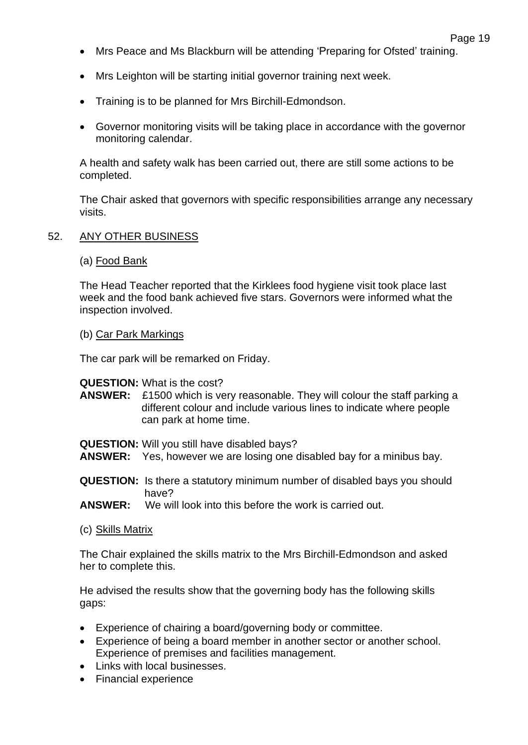- Mrs Peace and Ms Blackburn will be attending 'Preparing for Ofsted' training.
- Mrs Leighton will be starting initial governor training next week.
- Training is to be planned for Mrs Birchill-Edmondson.
- Governor monitoring visits will be taking place in accordance with the governor monitoring calendar.

A health and safety walk has been carried out, there are still some actions to be completed.

The Chair asked that governors with specific responsibilities arrange any necessary visits.

### 52. ANY OTHER BUSINESS

### (a) Food Bank

The Head Teacher reported that the Kirklees food hygiene visit took place last week and the food bank achieved five stars. Governors were informed what the inspection involved.

#### (b) Car Park Markings

The car park will be remarked on Friday.

#### **QUESTION:** What is the cost?

**ANSWER:** £1500 which is very reasonable. They will colour the staff parking a different colour and include various lines to indicate where people can park at home time.

**QUESTION:** Will you still have disabled bays?

- **ANSWER:** Yes, however we are losing one disabled bay for a minibus bay.
- **QUESTION:** Is there a statutory minimum number of disabled bays you should have?
- **ANSWER:** We will look into this before the work is carried out.
- (c) Skills Matrix

The Chair explained the skills matrix to the Mrs Birchill-Edmondson and asked her to complete this.

He advised the results show that the governing body has the following skills gaps:

- Experience of chairing a board/governing body or committee.
- Experience of being a board member in another sector or another school. Experience of premises and facilities management.
- Links with local businesses.
- Financial experience